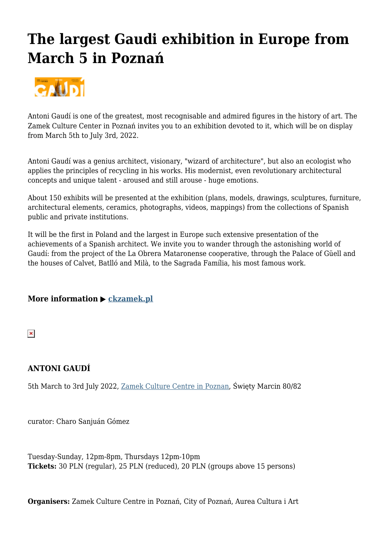## **The largest Gaudi exhibition in Europe from March 5 in Poznań**



A[ntoni Gaudí is on](http://poznan.travel/media/images/main/1673gaudi.png)e of the greatest, most recognisable and admired figures in the history of art. The Zamek Culture Center in Poznań invites you to an exhibition devoted to it, which will be on display from March 5th to July 3rd, 2022.

Antoni Gaudí was a genius architect, visionary, "wizard of architecture", but also an ecologist who applies the principles of recycling in his works. His modernist, even revolutionary architectural concepts and unique talent - aroused and still arouse - huge emotions.

About 150 exhibits will be presented at the exhibition (plans, models, drawings, sculptures, furniture, architectural elements, ceramics, photographs, videos, mappings) from the collections of Spanish public and private institutions.

It will be the first in Poland and the largest in Europe such extensive presentation of the achievements of a Spanish architect. We invite you to wander through the astonishing world of Gaudí: from the project of the La Obrera Mataronense cooperative, through the Palace of Güell and the houses of Calvet, Batlló and Milà, to the Sagrada Família, his most famous work.

## **More information ▶ ckzamek.pl**

 $\pmb{\times}$ 

## **ANTONI GAUDÍ**

5th March to 3rd July 2022, Zamek Culture Centre in Poznan, Święty Marcin 80/82

curator: Charo Sanjuán Gó[mez](http://poznan.travel/en/poi/show/id/865)

Tuesday-Sunday, 12pm-8pm, Thursdays 12pm-10pm **Tickets:** 30 PLN (regular), 25 PLN (reduced), 20 PLN (groups above 15 persons)

**Organisers:** Zamek Culture Centre in Poznań, City of Poznań, Aurea Cultura i Art